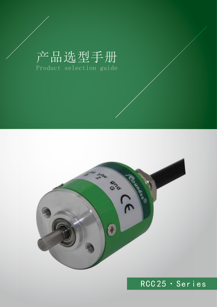# 产品选型手册 Product selection guide



## RCC 25·Series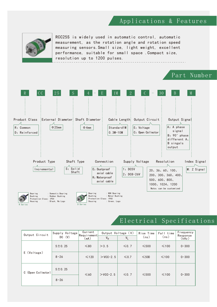#### Applications & Features



RCC25S is widely used in automatic control, automatic measurement, as the rotation angle and rotation speed measuring sensors.Small size, light weight, excellent performance, suitable for small space .Compact size, resolution up to 1200 pulses.



#### Electrical Specifications

| Output Circuit     | Supply Voltage<br>DC (V) | Current<br>$ $ Requirement $ $<br>(mA) | Output Voltage (V)<br>$V_H$<br>$V_L$ |            | Rise Time<br>(ns) | Fall time<br>(ns) | Frequency<br>Response<br>(kHz) |
|--------------------|--------------------------|----------------------------------------|--------------------------------------|------------|-------------------|-------------------|--------------------------------|
|                    | 5 ± 0.25                 | $\leq 80$                              | >3.5                                 | $\leq 0.7$ | $\leq 500$        | $\leq 100$        | $0 - 300$                      |
| E (Voltage)        | $8 - 26$                 | $\leq 120$                             | $>$ VCC-2.5                          | $\leq 0.7$ | $\leq 500$        | $\leq 100$        | $0 - 300$                      |
| C (Open Collector) | 5 ± 0.25                 | $\leq 60$                              | $>$ VCC-2.5                          | $\leq 0.7$ | $\leq 500$        | $\leq 100$        | $0 - 300$                      |
|                    | $8 - 26$                 |                                        |                                      |            |                   |                   |                                |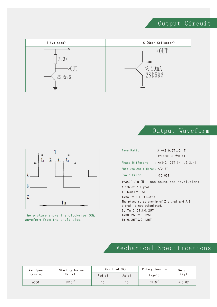### Output Circuit



### Output Waveform



The picture shows the clockwise (CW) waveform from the shaft side.

| Wave Ratio                                  | : X1+X2=0.5T $\pm$ 0.1T                       |  |  |  |  |  |
|---------------------------------------------|-----------------------------------------------|--|--|--|--|--|
|                                             | $X2+X3=0.5T \pm 0.1T$                         |  |  |  |  |  |
|                                             | Phase Different : $Xn \ge 0.125T$ (n=1.2.3.4) |  |  |  |  |  |
| Absolute Angle Error: $\leq 0.2$ T          |                                               |  |  |  |  |  |
| Cycle Error                                 | $: \leq 0.05$ T                               |  |  |  |  |  |
|                                             | $T=360° / N (N=1$ ines count per revolution)  |  |  |  |  |  |
| Width of Z signal                           |                                               |  |  |  |  |  |
| 1, $Tm = 1T \pm 0.5T$                       |                                               |  |  |  |  |  |
| $Tm=nT \pm 0.1T$ (n $\geq 2$ )              |                                               |  |  |  |  |  |
| The phase relationship of Z signal and A, B |                                               |  |  |  |  |  |
| signal is not stipulated.                   |                                               |  |  |  |  |  |
| 2, $Tm=0.5T \pm 0.25T$                      |                                               |  |  |  |  |  |
| Tm=0.25T $\pm$ 0.125T                       |                                               |  |  |  |  |  |
| Tm=0.25T $\pm$ 0.125T                       |                                               |  |  |  |  |  |

### Mechanical Specifications

| Max Speed | Starting Torque |        | $Max$ Load $(N)$ | Rotary Inertia    | Weight         |  |
|-----------|-----------------|--------|------------------|-------------------|----------------|--|
| (r/min)   | 'N.<br>M)       | Radial | Axial            | (kgm <sup>2</sup> |                |  |
| 6000      | $1*10^{-3}$     | 15     | 10               | $4*10^{-6}$       | $\approx$ 0.07 |  |